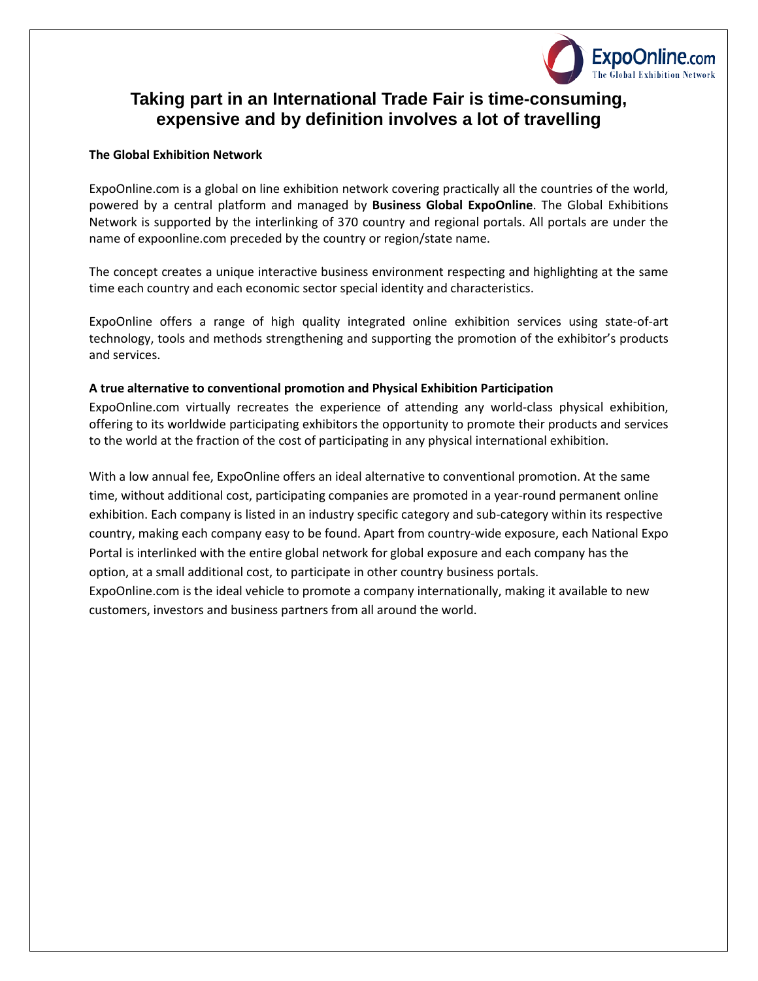

### **Taking part in an International Trade Fair is time-consuming, expensive and by definition involves a lot of travelling**

#### **The Global Exhibition Network**

ExpoOnline.com is a global on line exhibition network covering practically all the countries of the world, powered by a central platform and managed by **Business Global ExpoOnline**. The Global Exhibitions Network is supported by the interlinking of 370 country and regional portals. All portals are under the name of expoonline.com preceded by the country or region/state name.

The concept creates a unique interactive business environment respecting and highlighting at the same time each country and each economic sector special identity and characteristics.

ExpoOnline offers a range of high quality integrated online exhibition services using state-of-art technology, tools and methods strengthening and supporting the promotion of the exhibitor's products and services.

### **A true alternative to conventional promotion and Physical Exhibition Participation**

ExpoOnline.com virtually recreates the experience of attending any world-class physical exhibition, offering to its worldwide participating exhibitors the opportunity to promote their products and services to the world at the fraction of the cost of participating in any physical international exhibition.

With a low annual fee, ExpoOnline offers an ideal alternative to conventional promotion. At the same time, without additional cost, participating companies are promoted in a year-round permanent online exhibition. Each company is listed in an industry specific category and sub-category within its respective country, making each company easy to be found. Apart from country-wide exposure, each National Expo Portal is interlinked with the entire global network for global exposure and each company has the option, at a small additional cost, to participate in other country business portals.

ExpoOnline.com is the ideal vehicle to promote a company internationally, making it available to new customers, investors and business partners from all around the world.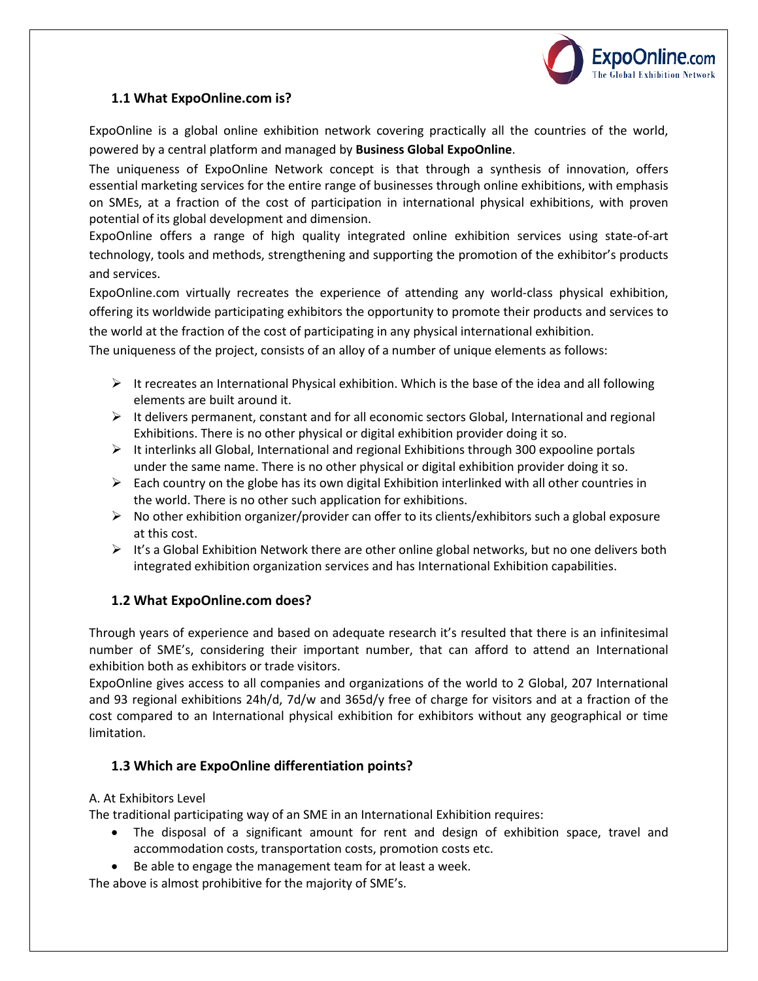

### **1.1 What ExpoOnline.com is?**

ExpoOnline is a global online exhibition network covering practically all the countries of the world, powered by a central platform and managed by **Business Global ExpoOnline**.

The uniqueness of ExpoOnline Network concept is that through a synthesis of innovation, offers essential marketing services for the entire range of businesses through online exhibitions, with emphasis on SMEs, at a fraction of the cost of participation in international physical exhibitions, with proven potential of its global development and dimension.

ExpoOnline offers a range of high quality integrated online exhibition services using state-of-art technology, tools and methods, strengthening and supporting the promotion of the exhibitor's products and services.

ExpoOnline.com virtually recreates the experience of attending any world-class physical exhibition, offering its worldwide participating exhibitors the opportunity to promote their products and services to the world at the fraction of the cost of participating in any physical international exhibition.

The uniqueness of the project, consists of an alloy of a number of unique elements as follows:

- $\triangleright$  It recreates an International Physical exhibition. Which is the base of the idea and all following elements are built around it.
- $\triangleright$  It delivers permanent, constant and for all economic sectors Global, International and regional Exhibitions. There is no other physical or digital exhibition provider doing it so.
- $\triangleright$  It interlinks all Global, International and regional Exhibitions through 300 expooline portals under the same name. There is no other physical or digital exhibition provider doing it so.
- $\triangleright$  Each country on the globe has its own digital Exhibition interlinked with all other countries in the world. There is no other such application for exhibitions.
- $\triangleright$  No other exhibition organizer/provider can offer to its clients/exhibitors such a global exposure at this cost.
- $\triangleright$  It's a Global Exhibition Network there are other online global networks, but no one delivers both integrated exhibition organization services and has International Exhibition capabilities.

### **1.2 What ExpoOnline.com does?**

Through years of experience and based on adequate research it's resulted that there is an infinitesimal number of SME's, considering their important number, that can afford to attend an International exhibition both as exhibitors or trade visitors.

ExpoOnline gives access to all companies and organizations of the world to 2 Global, 207 International and 93 regional exhibitions 24h/d, 7d/w and 365d/y free of charge for visitors and at a fraction of the cost compared to an International physical exhibition for exhibitors without any geographical or time limitation.

### **1.3 Which are ExpoOnline differentiation points?**

### Α. At Exhibitors Level

The traditional participating way of an SME in an International Exhibition requires:

- The disposal of a significant amount for rent and design of exhibition space, travel and accommodation costs, transportation costs, promotion costs etc.
- Be able to engage the management team for at least a week.

The above is almost prohibitive for the majority of SME's.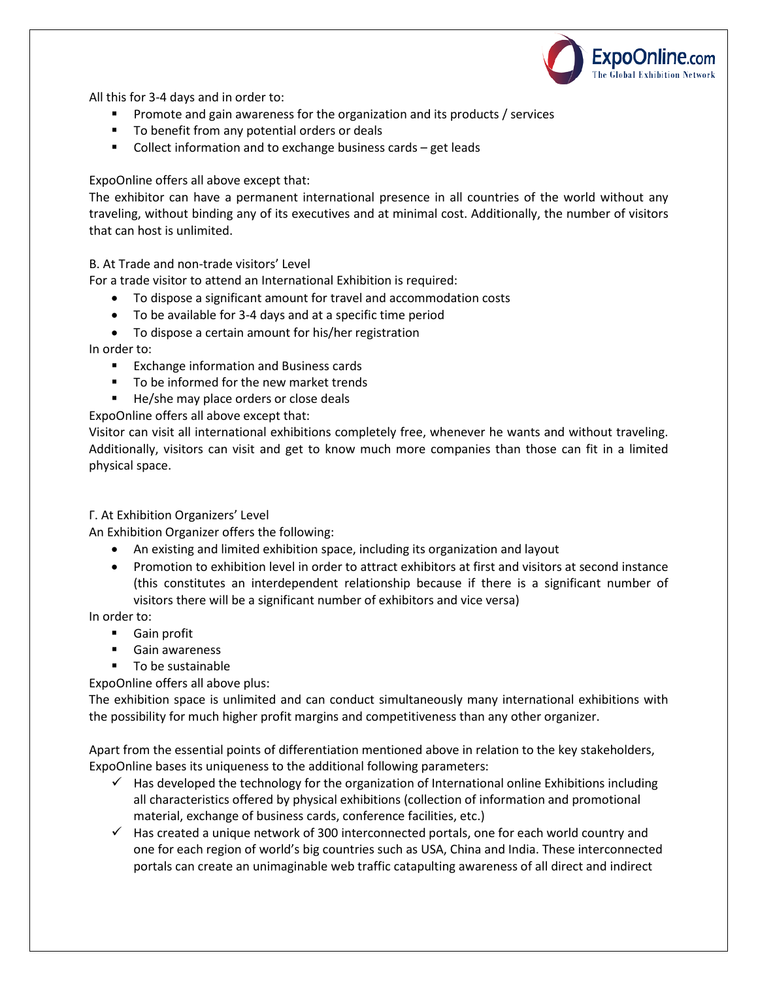

All this for 3-4 days and in order to:

- **Promote and gain awareness for the organization and its products / services**
- **Theory 1** To benefit from any potential orders or deals
- Collect information and to exchange business cards get leads

ExpoOnline offers all above except that:

The exhibitor can have a permanent international presence in all countries of the world without any traveling, without binding any of its executives and at minimal cost. Additionally, the number of visitors that can host is unlimited.

Β. At Trade and non-trade visitors' Level

For a trade visitor to attend an International Exhibition is required:

- To dispose a significant amount for travel and accommodation costs
- To be available for 3-4 days and at a specific time period
- To dispose a certain amount for his/her registration

In order to:

- **Exchange information and Business cards**
- To be informed for the new market trends
- He/she may place orders or close deals

ExpoOnline offers all above except that:

Visitor can visit all international exhibitions completely free, whenever he wants and without traveling. Additionally, visitors can visit and get to know much more companies than those can fit in a limited physical space.

### Γ. At Exhibition Organizers' Level

An Exhibition Organizer offers the following:

- An existing and limited exhibition space, including its organization and layout
- Promotion to exhibition level in order to attract exhibitors at first and visitors at second instance (this constitutes an interdependent relationship because if there is a significant number of visitors there will be a significant number of exhibitors and vice versa)

In order to:

- **Gain profit**
- **Gain awareness**
- **To be sustainable**

ExpoOnline offers all above plus:

The exhibition space is unlimited and can conduct simultaneously many international exhibitions with the possibility for much higher profit margins and competitiveness than any other organizer.

Apart from the essential points of differentiation mentioned above in relation to the key stakeholders, ExpoOnline bases its uniqueness to the additional following parameters:

- $\checkmark$  Has developed the technology for the organization of International online Exhibitions including all characteristics offered by physical exhibitions (collection of information and promotional material, exchange of business cards, conference facilities, etc.)
- $\checkmark$  Has created a unique network of 300 interconnected portals, one for each world country and one for each region of world's big countries such as USA, China and India. These interconnected portals can create an unimaginable web traffic catapulting awareness of all direct and indirect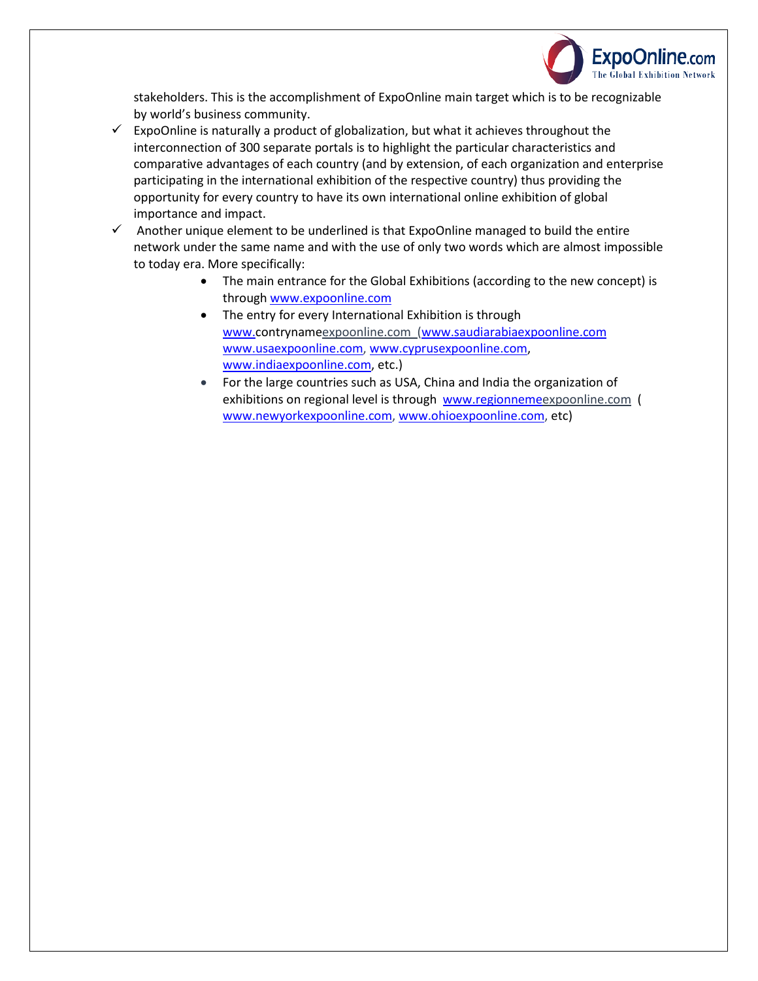

stakeholders. This is the accomplishment of ExpoOnline main target which is to be recognizable by world's business community.

- $\checkmark$  ExpoOnline is naturally a product of globalization, but what it achieves throughout the interconnection of 300 separate portals is to highlight the particular characteristics and comparative advantages of each country (and by extension, of each organization and enterprise participating in the international exhibition of the respective country) thus providing the opportunity for every country to have its own international online exhibition of global importance and impact.
- $\checkmark$  Another unique element to be underlined is that ExpoOnline managed to build the entire network under the same name and with the use of only two words which are almost impossible to today era. More specifically:
	- The main entrance for the Global Exhibitions (according to the new concept) is through [www.expoonline.com](http://www.expoonline.com/)
	- The entry for every International Exhibition is through [www.c](http://www./)ontrynameexpoonline.com [\(www.saudiarabiaexpoonline.com](http://www.saudiarabiaexpoonline.com/)  [www.usaexpoonline.com,](http://www.usaexpoonline.com/) [www.cyprusexpoonline.com,](http://www.cyprusexpoonline.com/) [www.indiaexpoonline.com,](http://www.indiaexpoonline.com/) etc.)
	- For the large countries such as USA, China and India the organization of exhibitions on regional level is through [www.regionnemee](http://www.regionneme/)xpoonline.com ( [www.newyorkexpoonline.com,](http://www.newyorkexpoonline.com/) [www.ohioexpoonline.com,](http://www.ohioexpoonline.com/) etc)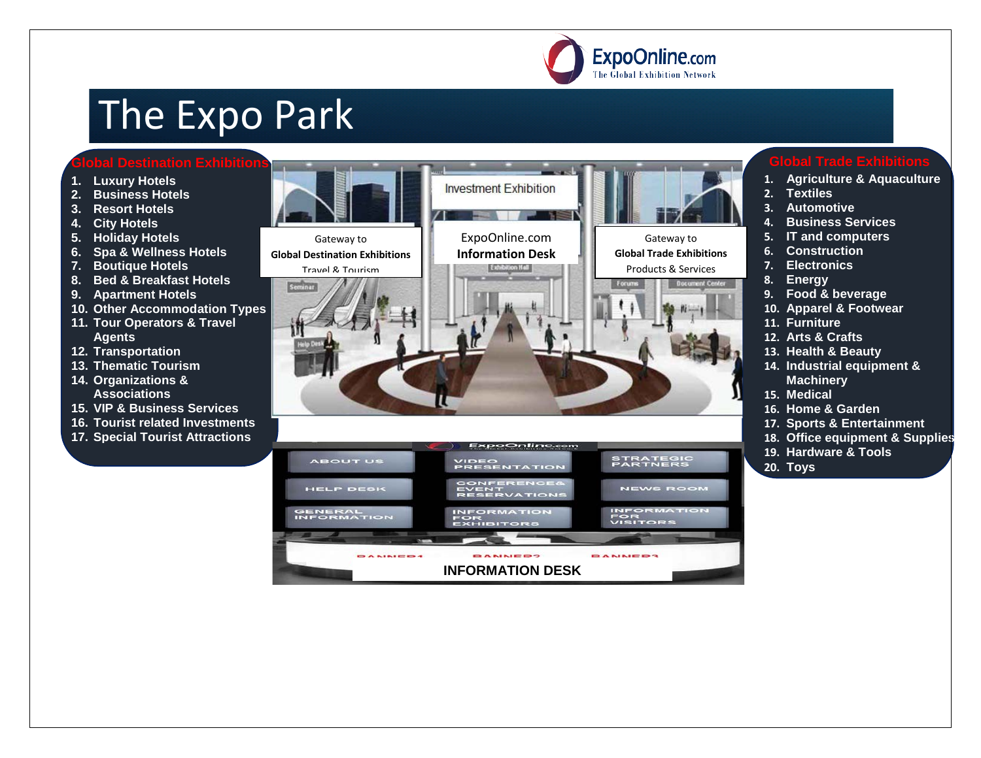

## The Expo Park

### **Global Destination Exhibitions**

- **1. Luxury Hotels**
- **2. Business Hotels**
- **3. Resort Hotels**
- **4. City Hotels**
- **5. Holiday Hotels**
- **6. Spa & Wellness Hotels**
- **7. Boutique Hotels**
- **8. Bed & Breakfast Hotels**
- **9. Apartment Hotels**
- **10. Other Accommodation Types**
- **11. Tour Operators & Travel Agents**
- **12. Transportation**
- **13. Thematic Tourism**
- **14. Organizations & Associations**
- **15. VIP & Business Services**
- **16. Tourist related Investments**
- **17. Special Tourist Attractions**



- **1. Agriculture & Aquaculture**
- **2. Textiles**
- **3. Automotive**
- **4. Business Services**
- **5. IT and computers**
- **6. Construction**
- **7. Electronics**
- **8. Energy**
- **9. Food & beverage**
- **10. Apparel & Footwear**
- **11. Furniture**
- **12. Arts & Crafts**
- **13. Health & Beauty**
- **14. Industrial equipment & Machinery**
- **15. Medical**
- **16. Home & Garden**
- **17. Sports & Entertainment**
- **18. Office equipment & Supplies**
- **19. Hardware & Tools**
- **20. Toys**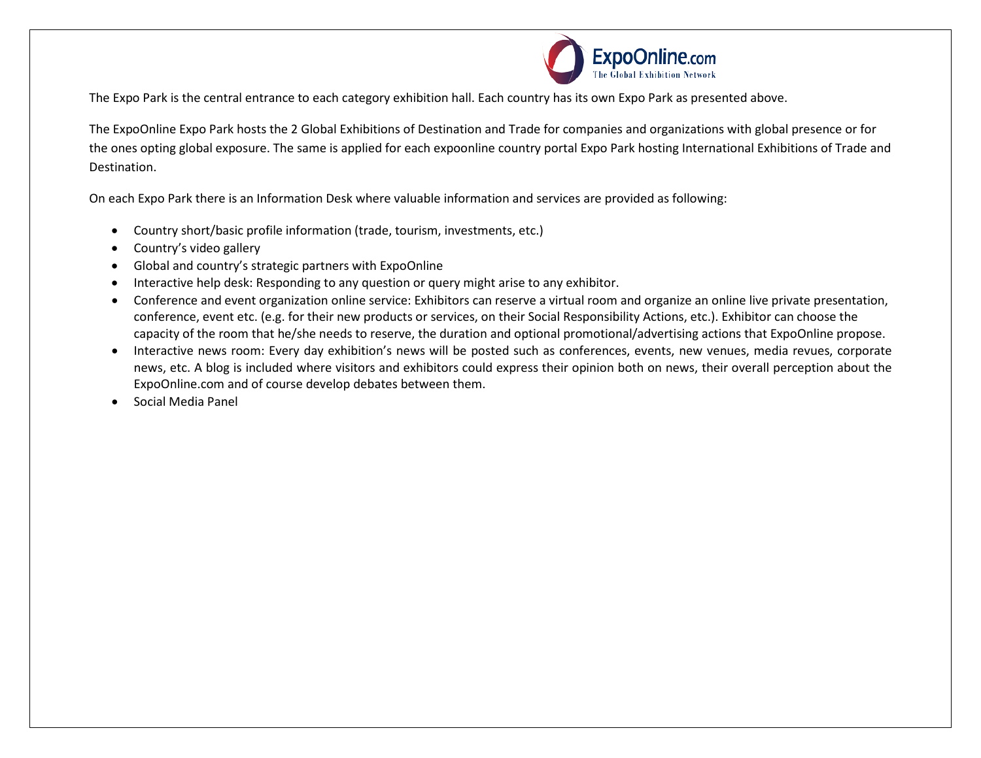

The Expo Park is the central entrance to each category exhibition hall. Each country has its own Expo Park as presented above.

The ExpoOnline Expo Park hosts the 2 Global Exhibitions of Destination and Trade for companies and organizations with global presence or for the ones opting global exposure. The same is applied for each expoonline country portal Expo Park hosting International Exhibitions of Trade and Destination.

On each Expo Park there is an Information Desk where valuable information and services are provided as following:

- Country short/basic profile information (trade, tourism, investments, etc.)
- Country's video gallery
- Global and country's strategic partners with ExpoOnline
- Interactive help desk: Responding to any question or query might arise to any exhibitor.
- Conference and event organization online service: Exhibitors can reserve a virtual room and organize an online live private presentation, conference, event etc. (e.g. for their new products or services, on their Social Responsibility Actions, etc.). Exhibitor can choose the capacity of the room that he/she needs to reserve, the duration and optional promotional/advertising actions that ExpoOnline propose.
- Interactive news room: Every day exhibition's news will be posted such as conferences, events, new venues, media revues, corporate news, etc. A blog is included where visitors and exhibitors could express their opinion both on news, their overall perception about the ExpoOnline.com and of course develop debates between them.
- Social Media Panel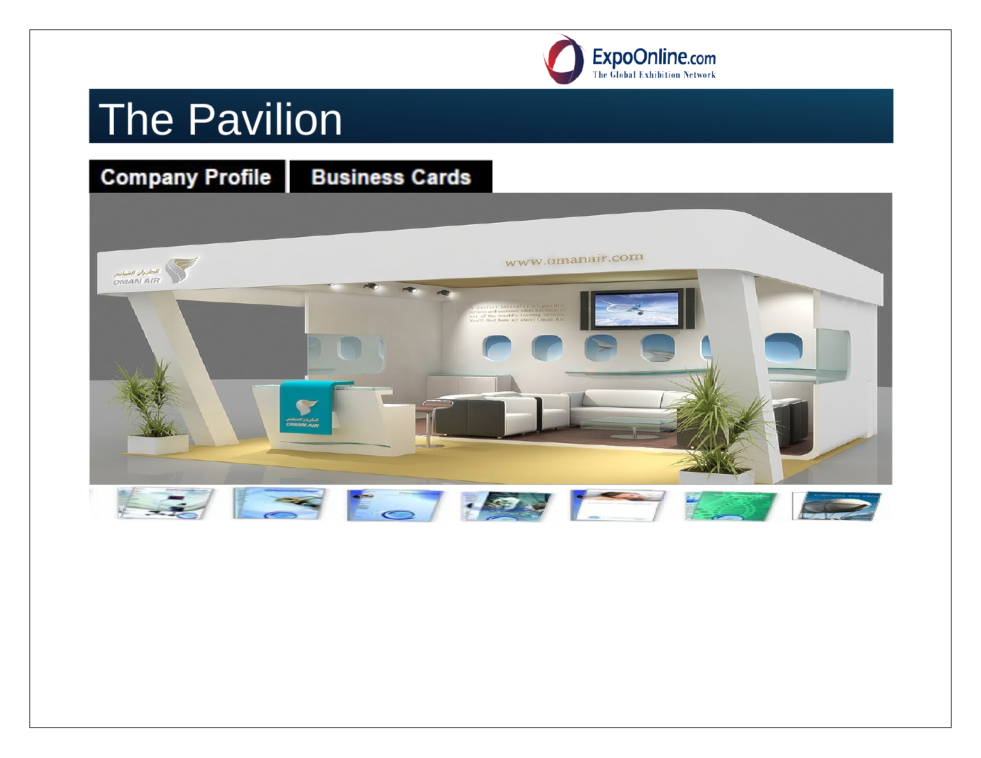

# **The Pavilion**

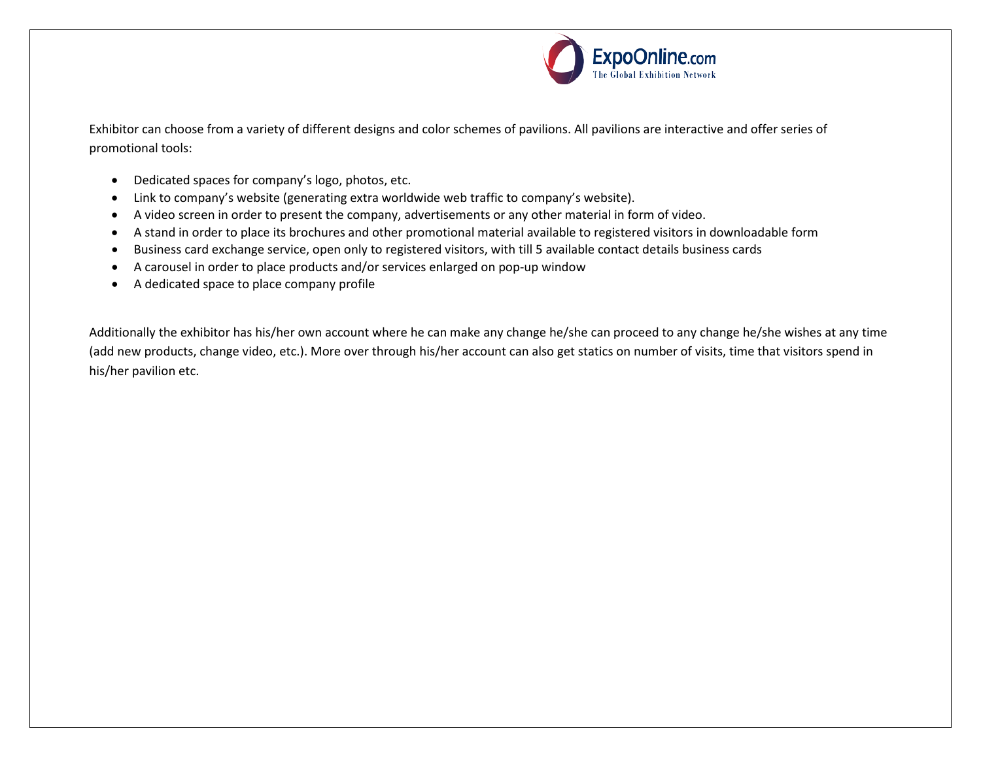

Exhibitor can choose from a variety of different designs and color schemes of pavilions. All pavilions are interactive and offer series of promotional tools:

- Dedicated spaces for company's logo, photos, etc.
- Link to company's website (generating extra worldwide web traffic to company's website).
- A video screen in order to present the company, advertisements or any other material in form of video.
- A stand in order to place its brochures and other promotional material available to registered visitors in downloadable form
- Business card exchange service, open only to registered visitors, with till 5 available contact details business cards
- A carousel in order to place products and/or services enlarged on pop-up window
- A dedicated space to place company profile

Additionally the exhibitor has his/her own account where he can make any change he/she can proceed to any change he/she wishes at any time (add new products, change video, etc.). More over through his/her account can also get statics on number of visits, time that visitors spend in his/her pavilion etc.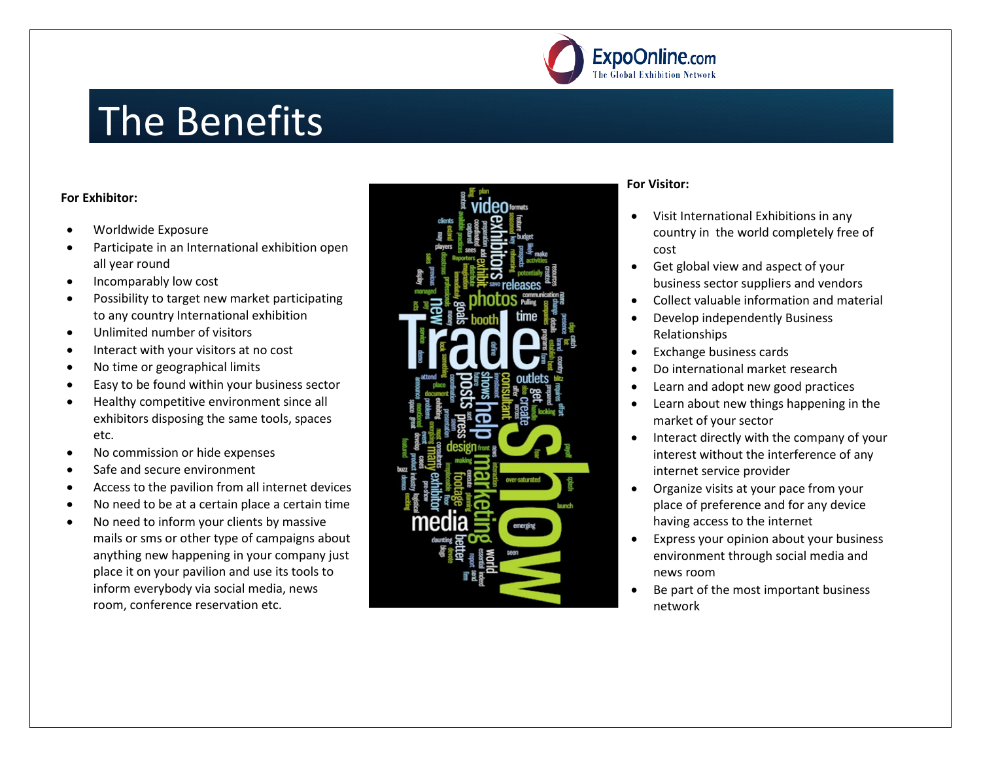

### The Benefits

### **For Exhibitor:**

- Worldwide Exposure
- Participate in an International exhibition open all year round
- Incomparably low cost
- Possibility to target new market participating to any country International exhibition
- Unlimited number of visitors
- Interact with your visitors at no cost
- No time or geographical limits
- Easy to be found within your business sector
- Healthy competitive environment since all exhibitors disposing the same tools, spaces etc.
- No commission or hide expenses
- Safe and secure environment
- Access to the pavilion from all internet devices
- No need to be at a certain place a certain time
- No need to inform your clients by massive mails or sms or other type of campaigns about anything new happening in your company just place it on your pavilion and use its tools to inform everybody via social media, news room, conference reservation etc.



### **For Visitor:**

- Visit International Exhibitions in any country in the world completely free of cost
- Get global view and aspect of your business sector suppliers and vendors
- Collect valuable information and material
- Develop independently Business Relationships
- Exchange business cards
- Do international market research
- Learn and adopt new good practices
- Learn about new things happening in the market of your sector
- Interact directly with the company of your interest without the interference of any internet service provider
- Organize visits at your pace from your place of preference and for any device having access to the internet
- Express your opinion about your business environment through social media and news room
- Be part of the most important business network